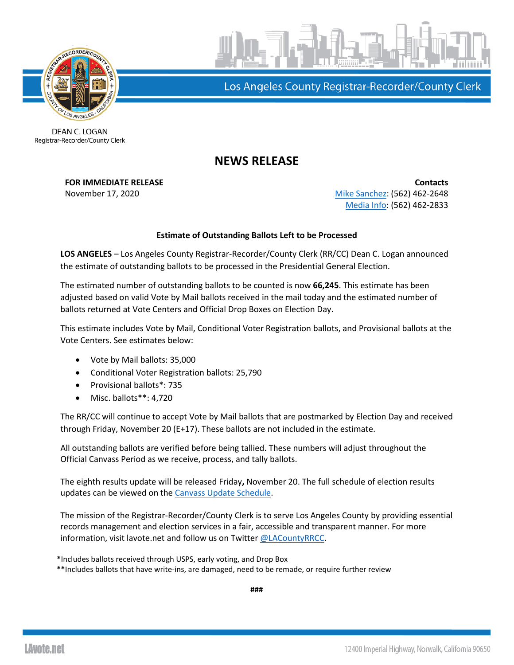



Los Angeles County Registrar-Recorder/County Clerk

DEAN C. LOGAN Registrar-Recorder/County Clerk

## **NEWS RELEASE**

**FOR IMMEDIATE RELEASE Contacts** November 17, 2020 [Mike Sanchez:](mailto:msanchez@rrcc.lacounty.gov) (562) 462-2648 [Media Info:](mailto:mediainfo@rrcc.lacounty.gov) (562) 462-2833

## **Estimate of Outstanding Ballots Left to be Processed**

**LOS ANGELES** – Los Angeles County Registrar-Recorder/County Clerk (RR/CC) Dean C. Logan announced the estimate of outstanding ballots to be processed in the Presidential General Election.

The estimated number of outstanding ballots to be counted is now **66,245**. This estimate has been adjusted based on valid Vote by Mail ballots received in the mail today and the estimated number of ballots returned at Vote Centers and Official Drop Boxes on Election Day.

This estimate includes Vote by Mail, Conditional Voter Registration ballots, and Provisional ballots at the Vote Centers. See estimates below:

- Vote by Mail ballots: 35,000
- Conditional Voter Registration ballots: 25,790
- Provisional ballots\*: 735
- Misc. ballots\*\*: 4,720

The RR/CC will continue to accept Vote by Mail ballots that are postmarked by Election Day and received through Friday, November 20 (E+17). These ballots are not included in the estimate.

All outstanding ballots are verified before being tallied. These numbers will adjust throughout the Official Canvass Period as we receive, process, and tally ballots.

The eighth results update will be released Friday**,** November 20. The full schedule of election results updates can be viewed on the [Canvass Update Schedule.](https://lavote.net/docs/rrcc/election-info/11032020_canvass-update-schedule.pdf?v=2)

The mission of the Registrar-Recorder/County Clerk is to serve Los Angeles County by providing essential records management and election services in a fair, accessible and transparent manner. For more information, visit lavote.net and follow us on Twitter [@LACountyRRCC.](https://twitter.com/LACountyRRCC)

**\***Includes ballots received through USPS, early voting, and Drop Box **\*\***Includes ballots that have write-ins, are damaged, need to be remade, or require further review

**###**